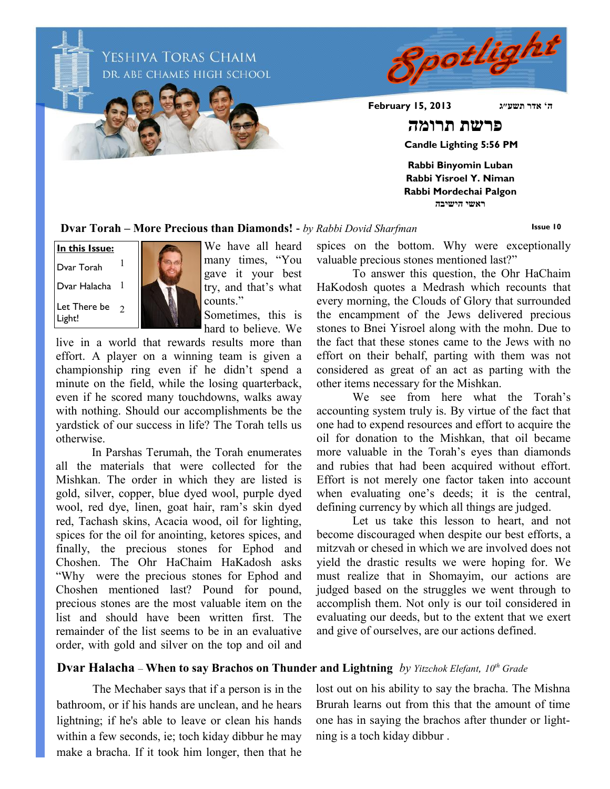Spotlight YESHIVA TORAS CHAIM DR. ABE CHAMES HIGH SCHOOL **ה' אדר תשע״ג 2013 15, February פרשת תרומה Candle Lighting 5:56 PM Rabbi Binyomin Luban Rabbi Yisroel Y. Niman Rabbi Mordechai Palgon**

**ראשי הישיבה**

**Dvar Torah – More Precious than Diamonds! -** *by Rabbi Dovid Sharfman*

**Issue 10**





We have all heard many times, "You gave it your best try, and that's what counts."

Sometimes, this is hard to believe. We

live in a world that rewards results more than effort. A player on a winning team is given a championship ring even if he didn't spend a minute on the field, while the losing quarterback, even if he scored many touchdowns, walks away with nothing. Should our accomplishments be the yardstick of our success in life? The Torah tells us otherwise.

In Parshas Terumah, the Torah enumerates all the materials that were collected for the Mishkan. The order in which they are listed is gold, silver, copper, blue dyed wool, purple dyed wool, red dye, linen, goat hair, ram's skin dyed red, Tachash skins, Acacia wood, oil for lighting, spices for the oil for anointing, ketores spices, and finally, the precious stones for Ephod and Choshen. The Ohr HaChaim HaKadosh asks "Why were the precious stones for Ephod and Choshen mentioned last? Pound for pound, precious stones are the most valuable item on the list and should have been written first. The remainder of the list seems to be in an evaluative order, with gold and silver on the top and oil and

spices on the bottom. Why were exceptionally valuable precious stones mentioned last?"

To answer this question, the Ohr HaChaim HaKodosh quotes a Medrash which recounts that every morning, the Clouds of Glory that surrounded the encampment of the Jews delivered precious stones to Bnei Yisroel along with the mohn. Due to the fact that these stones came to the Jews with no effort on their behalf, parting with them was not considered as great of an act as parting with the other items necessary for the Mishkan.

We see from here what the Torah's accounting system truly is. By virtue of the fact that one had to expend resources and effort to acquire the oil for donation to the Mishkan, that oil became more valuable in the Torah's eyes than diamonds and rubies that had been acquired without effort. Effort is not merely one factor taken into account when evaluating one's deeds; it is the central, defining currency by which all things are judged.

Let us take this lesson to heart, and not become discouraged when despite our best efforts, a mitzvah or chesed in which we are involved does not yield the drastic results we were hoping for. We must realize that in Shomayim, our actions are judged based on the struggles we went through to accomplish them. Not only is our toil considered in evaluating our deeds, but to the extent that we exert and give of ourselves, are our actions defined.

## **Dvar Halacha** – **When to say Brachos on Thunder and Lightning** *by Yitzchok Elefant, 10th Grade*

The Mechaber says that if a person is in the bathroom, or if his hands are unclean, and he hears lightning; if he's able to leave or clean his hands within a few seconds, ie; toch kiday dibbur he may make a bracha. If it took him longer, then that he

lost out on his ability to say the bracha. The Mishna Brurah learns out from this that the amount of time one has in saying the brachos after thunder or lightning is a toch kiday dibbur .